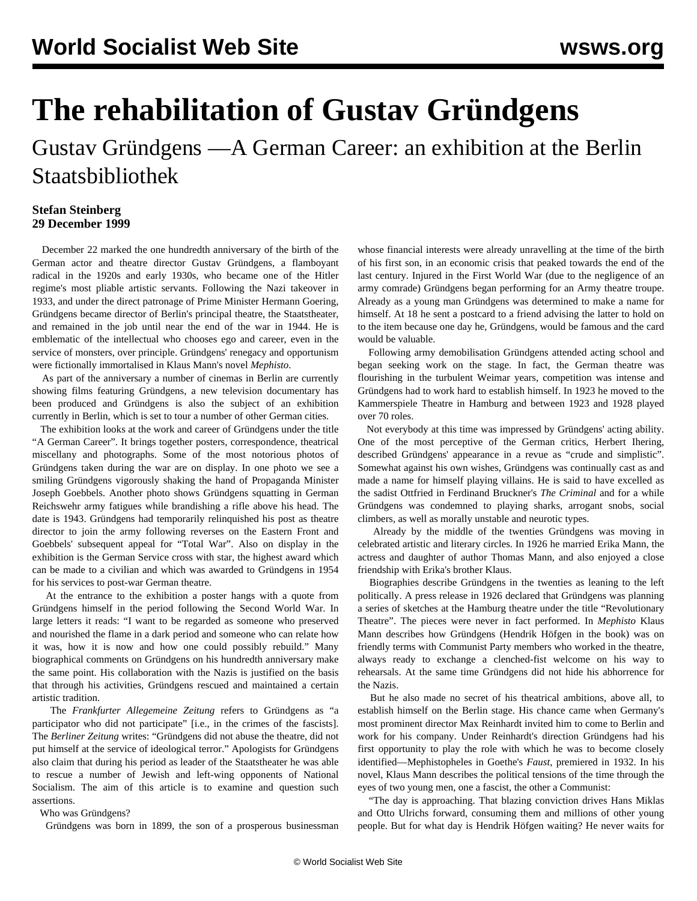## **The rehabilitation of Gustav Gründgens**

Gustav Gründgens —A German Career: an exhibition at the Berlin Staatsbibliothek

## **Stefan Steinberg 29 December 1999**

 December 22 marked the one hundredth anniversary of the birth of the German actor and theatre director Gustav Gründgens, a flamboyant radical in the 1920s and early 1930s, who became one of the Hitler regime's most pliable artistic servants. Following the Nazi takeover in 1933, and under the direct patronage of Prime Minister Hermann Goering, Gründgens became director of Berlin's principal theatre, the Staatstheater, and remained in the job until near the end of the war in 1944. He is emblematic of the intellectual who chooses ego and career, even in the service of monsters, over principle. Gründgens' renegacy and opportunism were fictionally immortalised in Klaus Mann's novel *Mephisto*.

 As part of the anniversary a number of cinemas in Berlin are currently showing films featuring Gründgens, a new television documentary has been produced and Gründgens is also the subject of an exhibition currently in Berlin, which is set to tour a number of other German cities.

 The exhibition looks at the work and career of Gründgens under the title "A German Career". It brings together posters, correspondence, theatrical miscellany and photographs. Some of the most notorious photos of Gründgens taken during the war are on display. In one photo we see a smiling Gründgens vigorously shaking the hand of Propaganda Minister Joseph Goebbels. Another photo shows Gründgens squatting in German Reichswehr army fatigues while brandishing a rifle above his head. The date is 1943. Gründgens had temporarily relinquished his post as theatre director to join the army following reverses on the Eastern Front and Goebbels' subsequent appeal for "Total War". Also on display in the exhibition is the German Service cross with star, the highest award which can be made to a civilian and which was awarded to Gründgens in 1954 for his services to post-war German theatre.

 At the entrance to the exhibition a poster hangs with a quote from Gründgens himself in the period following the Second World War. In large letters it reads: "I want to be regarded as someone who preserved and nourished the flame in a dark period and someone who can relate how it was, how it is now and how one could possibly rebuild." Many biographical comments on Gründgens on his hundredth anniversary make the same point. His collaboration with the Nazis is justified on the basis that through his activities, Gründgens rescued and maintained a certain artistic tradition.

 The *Frankfurter Allegemeine Zeitung* refers to Gründgens as "a participator who did not participate" [i.e., in the crimes of the fascists]. The *Berliner Zeitung* writes: "Gründgens did not abuse the theatre, did not put himself at the service of ideological terror." Apologists for Gründgens also claim that during his period as leader of the Staatstheater he was able to rescue a number of Jewish and left-wing opponents of National Socialism. The aim of this article is to examine and question such assertions.

Who was Gründgens?

Gründgens was born in 1899, the son of a prosperous businessman

whose financial interests were already unravelling at the time of the birth of his first son, in an economic crisis that peaked towards the end of the last century. Injured in the First World War (due to the negligence of an army comrade) Gründgens began performing for an Army theatre troupe. Already as a young man Gründgens was determined to make a name for himself. At 18 he sent a postcard to a friend advising the latter to hold on to the item because one day he, Gründgens, would be famous and the card would be valuable.

 Following army demobilisation Gründgens attended acting school and began seeking work on the stage. In fact, the German theatre was flourishing in the turbulent Weimar years, competition was intense and Gründgens had to work hard to establish himself. In 1923 he moved to the Kammerspiele Theatre in Hamburg and between 1923 and 1928 played over 70 roles.

 Not everybody at this time was impressed by Gründgens' acting ability. One of the most perceptive of the German critics, Herbert Ihering, described Gründgens' appearance in a revue as "crude and simplistic". Somewhat against his own wishes, Gründgens was continually cast as and made a name for himself playing villains. He is said to have excelled as the sadist Ottfried in Ferdinand Bruckner's *The Criminal* and for a while Gründgens was condemned to playing sharks, arrogant snobs, social climbers, as well as morally unstable and neurotic types.

 Already by the middle of the twenties Gründgens was moving in celebrated artistic and literary circles. In 1926 he married Erika Mann, the actress and daughter of author Thomas Mann, and also enjoyed a close friendship with Erika's brother Klaus.

 Biographies describe Gründgens in the twenties as leaning to the left politically. A press release in 1926 declared that Gründgens was planning a series of sketches at the Hamburg theatre under the title "Revolutionary Theatre". The pieces were never in fact performed. In *Mephisto* Klaus Mann describes how Gründgens (Hendrik Höfgen in the book) was on friendly terms with Communist Party members who worked in the theatre, always ready to exchange a clenched-fist welcome on his way to rehearsals. At the same time Gründgens did not hide his abhorrence for the Nazis.

 But he also made no secret of his theatrical ambitions, above all, to establish himself on the Berlin stage. His chance came when Germany's most prominent director Max Reinhardt invited him to come to Berlin and work for his company. Under Reinhardt's direction Gründgens had his first opportunity to play the role with which he was to become closely identified—Mephistopheles in Goethe's *Faust*, premiered in 1932. In his novel, Klaus Mann describes the political tensions of the time through the eyes of two young men, one a fascist, the other a Communist:

 "The day is approaching. That blazing conviction drives Hans Miklas and Otto Ulrichs forward, consuming them and millions of other young people. But for what day is Hendrik Höfgen waiting? He never waits for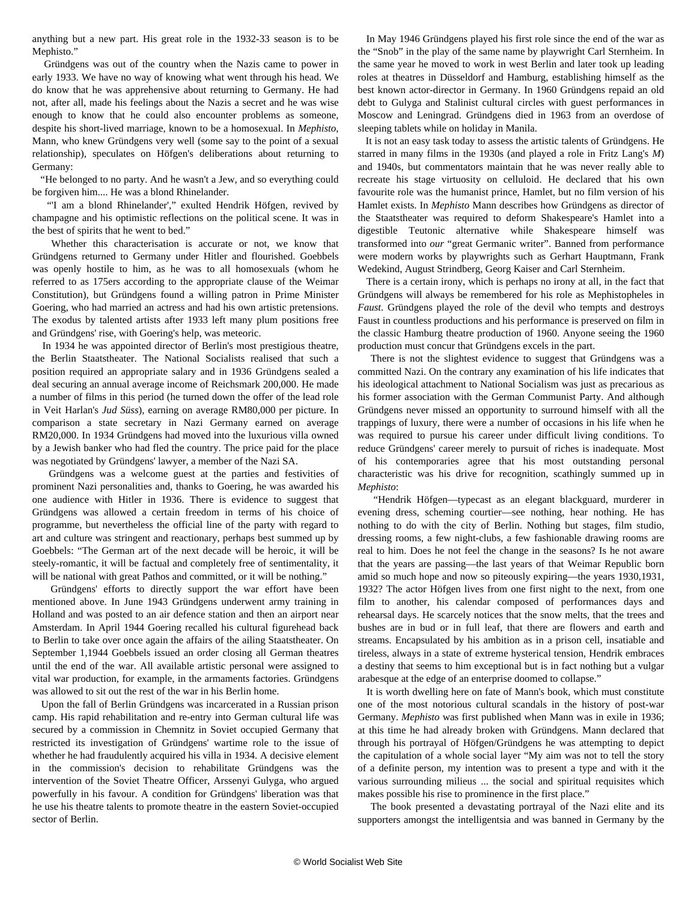anything but a new part. His great role in the 1932-33 season is to be Mephisto."

 Gründgens was out of the country when the Nazis came to power in early 1933. We have no way of knowing what went through his head. We do know that he was apprehensive about returning to Germany. He had not, after all, made his feelings about the Nazis a secret and he was wise enough to know that he could also encounter problems as someone, despite his short-lived marriage, known to be a homosexual. In *Mephisto*, Mann, who knew Gründgens very well (some say to the point of a sexual relationship), speculates on Höfgen's deliberations about returning to Germany:

 "He belonged to no party. And he wasn't a Jew, and so everything could be forgiven him.... He was a blond Rhinelander.

 "'I am a blond Rhinelander'," exulted Hendrik Höfgen, revived by champagne and his optimistic reflections on the political scene. It was in the best of spirits that he went to bed."

 Whether this characterisation is accurate or not, we know that Gründgens returned to Germany under Hitler and flourished. Goebbels was openly hostile to him, as he was to all homosexuals (whom he referred to as 175ers according to the appropriate clause of the Weimar Constitution), but Gründgens found a willing patron in Prime Minister Goering, who had married an actress and had his own artistic pretensions. The exodus by talented artists after 1933 left many plum positions free and Gründgens' rise, with Goering's help, was meteoric.

 In 1934 he was appointed director of Berlin's most prestigious theatre, the Berlin Staatstheater. The National Socialists realised that such a position required an appropriate salary and in 1936 Gründgens sealed a deal securing an annual average income of Reichsmark 200,000. He made a number of films in this period (he turned down the offer of the lead role in Veit Harlan's *Jud Süss*), earning on average RM80,000 per picture. In comparison a state secretary in Nazi Germany earned on average RM20,000. In 1934 Gründgens had moved into the luxurious villa owned by a Jewish banker who had fled the country. The price paid for the place was negotiated by Gründgens' lawyer, a member of the Nazi SA.

 Gründgens was a welcome guest at the parties and festivities of prominent Nazi personalities and, thanks to Goering, he was awarded his one audience with Hitler in 1936. There is evidence to suggest that Gründgens was allowed a certain freedom in terms of his choice of programme, but nevertheless the official line of the party with regard to art and culture was stringent and reactionary, perhaps best summed up by Goebbels: "The German art of the next decade will be heroic, it will be steely-romantic, it will be factual and completely free of sentimentality, it will be national with great Pathos and committed, or it will be nothing."

 Gründgens' efforts to directly support the war effort have been mentioned above. In June 1943 Gründgens underwent army training in Holland and was posted to an air defence station and then an airport near Amsterdam. In April 1944 Goering recalled his cultural figurehead back to Berlin to take over once again the affairs of the ailing Staatstheater. On September 1,1944 Goebbels issued an order closing all German theatres until the end of the war. All available artistic personal were assigned to vital war production, for example, in the armaments factories. Gründgens was allowed to sit out the rest of the war in his Berlin home.

 Upon the fall of Berlin Gründgens was incarcerated in a Russian prison camp. His rapid rehabilitation and re-entry into German cultural life was secured by a commission in Chemnitz in Soviet occupied Germany that restricted its investigation of Gründgens' wartime role to the issue of whether he had fraudulently acquired his villa in 1934. A decisive element in the commission's decision to rehabilitate Gründgens was the intervention of the Soviet Theatre Officer, Arssenyi Gulyga, who argued powerfully in his favour. A condition for Gründgens' liberation was that he use his theatre talents to promote theatre in the eastern Soviet-occupied sector of Berlin.

 In May 1946 Gründgens played his first role since the end of the war as the "Snob" in the play of the same name by playwright Carl Sternheim. In the same year he moved to work in west Berlin and later took up leading roles at theatres in Düsseldorf and Hamburg, establishing himself as the best known actor-director in Germany. In 1960 Gründgens repaid an old debt to Gulyga and Stalinist cultural circles with guest performances in Moscow and Leningrad. Gründgens died in 1963 from an overdose of sleeping tablets while on holiday in Manila.

 It is not an easy task today to assess the artistic talents of Gründgens. He starred in many films in the 1930s (and played a role in Fritz Lang's *M*) and 1940s, but commentators maintain that he was never really able to recreate his stage virtuosity on celluloid. He declared that his own favourite role was the humanist prince, Hamlet, but no film version of his Hamlet exists. In *Mephisto* Mann describes how Gründgens as director of the Staatstheater was required to deform Shakespeare's Hamlet into a digestible Teutonic alternative while Shakespeare himself was transformed into *our* "great Germanic writer". Banned from performance were modern works by playwrights such as Gerhart Hauptmann, Frank Wedekind, August Strindberg, Georg Kaiser and Carl Sternheim.

 There is a certain irony, which is perhaps no irony at all, in the fact that Gründgens will always be remembered for his role as Mephistopheles in *Faust*. Gründgens played the role of the devil who tempts and destroys Faust in countless productions and his performance is preserved on film in the classic Hamburg theatre production of 1960. Anyone seeing the 1960 production must concur that Gründgens excels in the part.

 There is not the slightest evidence to suggest that Gründgens was a committed Nazi. On the contrary any examination of his life indicates that his ideological attachment to National Socialism was just as precarious as his former association with the German Communist Party. And although Gründgens never missed an opportunity to surround himself with all the trappings of luxury, there were a number of occasions in his life when he was required to pursue his career under difficult living conditions. To reduce Gründgens' career merely to pursuit of riches is inadequate. Most of his contemporaries agree that his most outstanding personal characteristic was his drive for recognition, scathingly summed up in *Mephisto*:

 "Hendrik Höfgen—typecast as an elegant blackguard, murderer in evening dress, scheming courtier—see nothing, hear nothing. He has nothing to do with the city of Berlin. Nothing but stages, film studio, dressing rooms, a few night-clubs, a few fashionable drawing rooms are real to him. Does he not feel the change in the seasons? Is he not aware that the years are passing—the last years of that Weimar Republic born amid so much hope and now so piteously expiring—the years 1930,1931, 1932? The actor Höfgen lives from one first night to the next, from one film to another, his calendar composed of performances days and rehearsal days. He scarcely notices that the snow melts, that the trees and bushes are in bud or in full leaf, that there are flowers and earth and streams. Encapsulated by his ambition as in a prison cell, insatiable and tireless, always in a state of extreme hysterical tension, Hendrik embraces a destiny that seems to him exceptional but is in fact nothing but a vulgar arabesque at the edge of an enterprise doomed to collapse."

 It is worth dwelling here on fate of Mann's book, which must constitute one of the most notorious cultural scandals in the history of post-war Germany. *Mephisto* was first published when Mann was in exile in 1936; at this time he had already broken with Gründgens. Mann declared that through his portrayal of Höfgen/Gründgens he was attempting to depict the capitulation of a whole social layer "My aim was not to tell the story of a definite person, my intention was to present a type and with it the various surrounding milieus ... the social and spiritual requisites which makes possible his rise to prominence in the first place."

 The book presented a devastating portrayal of the Nazi elite and its supporters amongst the intelligentsia and was banned in Germany by the